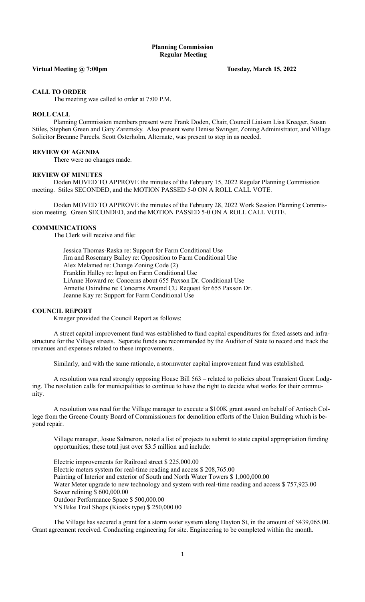# Planning Commission Regular Meeting

## Virtual Meeting @ 7:00pm Tuesday, March 15, 2022

## CALL TO ORDER

The meeting was called to order at 7:00 P.M.

## ROLL CALL

Planning Commission members present were Frank Doden, Chair, Council Liaison Lisa Kreeger, Susan Stiles, Stephen Green and Gary Zaremsky. Also present were Denise Swinger, Zoning Administrator, and Village Solicitor Breanne Parcels. Scott Osterholm, Alternate, was present to step in as needed.

#### REVIEW OF AGENDA

There were no changes made.

#### REVIEW OF MINUTES

 Doden MOVED TO APPROVE the minutes of the February 15, 2022 Regular Planning Commission meeting. Stiles SECONDED, and the MOTION PASSED 5-0 ON A ROLL CALL VOTE.

Doden MOVED TO APPROVE the minutes of the February 28, 2022 Work Session Planning Commission meeting. Green SECONDED, and the MOTION PASSED 5-0 ON A ROLL CALL VOTE.

## COMMUNICATIONS

The Clerk will receive and file:

 Jessica Thomas-Raska re: Support for Farm Conditional Use Jim and Rosemary Bailey re: Opposition to Farm Conditional Use Alex Melamed re: Change Zoning Code (2) Franklin Halley re: Input on Farm Conditional Use LiAnne Howard re: Concerns about 655 Paxson Dr. Conditional Use Annette Oxindine re: Concerns Around CU Request for 655 Paxson Dr. Jeanne Kay re: Support for Farm Conditional Use

#### COUNCIL REPORT

Kreeger provided the Council Report as follows:

A street capital improvement fund was established to fund capital expenditures for fixed assets and infrastructure for the Village streets. Separate funds are recommended by the Auditor of State to record and track the revenues and expenses related to these improvements.

Similarly, and with the same rationale, a stormwater capital improvement fund was established.

A resolution was read strongly opposing House Bill 563 – related to policies about Transient Guest Lodging. The resolution calls for municipalities to continue to have the right to decide what works for their community.

A resolution was read for the Village manager to execute a \$100K grant award on behalf of Antioch College from the Greene County Board of Commissioners for demolition efforts of the Union Building which is beyond repair.

Village manager, Josue Salmeron, noted a list of projects to submit to state capital appropriation funding opportunities; these total just over \$3.5 million and include:

Electric improvements for Railroad street \$ 225,000.00 Electric meters system for real-time reading and access \$ 208,765.00 Painting of Interior and exterior of South and North Water Towers \$ 1,000,000.00 Water Meter upgrade to new technology and system with real-time reading and access \$ 757,923.00 Sewer relining \$ 600,000.00 Outdoor Performance Space \$ 500,000.00 YS Bike Trail Shops (Kiosks type) \$ 250,000.00

The Village has secured a grant for a storm water system along Dayton St, in the amount of \$439,065.00. Grant agreement received. Conducting engineering for site. Engineering to be completed within the month.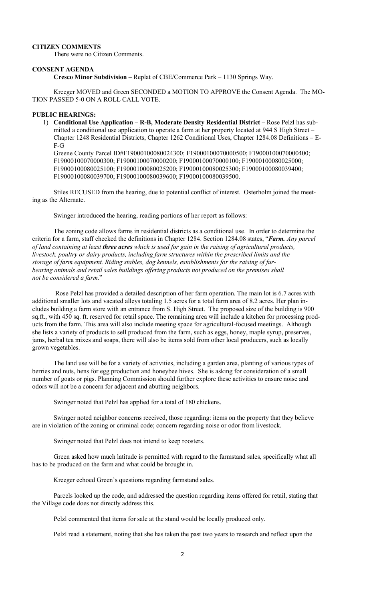# CITIZEN COMMENTS

There were no Citizen Comments.

## CONSENT AGENDA

Cresco Minor Subdivision – Replat of CBE/Commerce Park – 1130 Springs Way.

 Kreeger MOVED and Green SECONDED a MOTION TO APPROVE the Consent Agenda. The MO-TION PASSED 5-0 ON A ROLL CALL VOTE.

# PUBLIC HEARINGS:

1) Conditional Use Application – R-B, Moderate Density Residential District – Rose Pelzl has submitted a conditional use application to operate a farm at her property located at 944 S High Street – Chapter 1248 Residential Districts, Chapter 1262 Conditional Uses, Chapter 1284.08 Definitions – E-F-G

Greene County Parcel ID#F19000100080024300; F19000100070000500; F19000100070000400; F19000100070000300; F19000100070000200; F19000100070000100; F19000100080025000; F19000100080025100; F19000100080025200; F19000100080025300; F19000100080039400; F19000100080039700; F19000100080039600; F19000100080039500.

Stiles RECUSED from the hearing, due to potential conflict of interest. Osterholm joined the meeting as the Alternate.

Swinger introduced the hearing, reading portions of her report as follows:

The zoning code allows farms in residential districts as a conditional use. In order to determine the criteria for a farm, staff checked the definitions in Chapter 1284. Section 1284.08 states, "Farm. Any parcel of land containing at least **three acres** which is used for gain in the raising of agricultural products, livestock, poultry or dairy products, including farm structures within the prescribed limits and the storage of farm equipment. Riding stables, dog kennels, establishments for the raising of furbearing animals and retail sales buildings offering products not produced on the premises shall not be considered a farm."

 Rose Pelzl has provided a detailed description of her farm operation. The main lot is 6.7 acres with additional smaller lots and vacated alleys totaling 1.5 acres for a total farm area of 8.2 acres. Her plan includes building a farm store with an entrance from S. High Street. The proposed size of the building is 900 sq.ft., with 450 sq. ft. reserved for retail space. The remaining area will include a kitchen for processing products from the farm. This area will also include meeting space for agricultural-focused meetings. Although she lists a variety of products to sell produced from the farm, such as eggs, honey, maple syrup, preserves, jams, herbal tea mixes and soaps, there will also be items sold from other local producers, such as locally grown vegetables.

The land use will be for a variety of activities, including a garden area, planting of various types of berries and nuts, hens for egg production and honeybee hives. She is asking for consideration of a small number of goats or pigs. Planning Commission should further explore these activities to ensure noise and odors will not be a concern for adjacent and abutting neighbors.

Swinger noted that Pelzl has applied for a total of 180 chickens.

Swinger noted neighbor concerns received, those regarding: items on the property that they believe are in violation of the zoning or criminal code; concern regarding noise or odor from livestock.

Swinger noted that Pelzl does not intend to keep roosters.

Green asked how much latitude is permitted with regard to the farmstand sales, specifically what all has to be produced on the farm and what could be brought in.

Kreeger echoed Green's questions regarding farmstand sales.

Parcels looked up the code, and addressed the question regarding items offered for retail, stating that the Village code does not directly address this.

Pelzl commented that items for sale at the stand would be locally produced only.

Pelzl read a statement, noting that she has taken the past two years to research and reflect upon the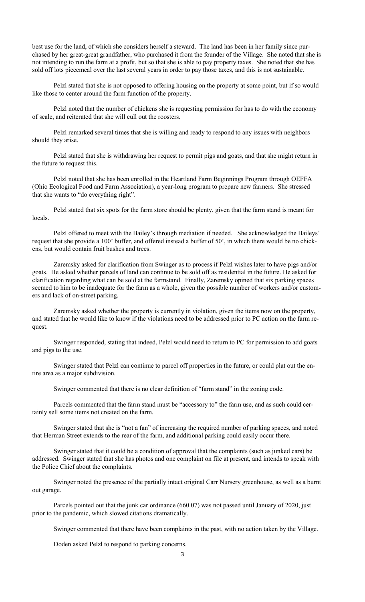best use for the land, of which she considers herself a steward. The land has been in her family since purchased by her great-great grandfather, who purchased it from the founder of the Village. She noted that she is not intending to run the farm at a profit, but so that she is able to pay property taxes. She noted that she has sold off lots piecemeal over the last several years in order to pay those taxes, and this is not sustainable.

Pelzl stated that she is not opposed to offering housing on the property at some point, but if so would like those to center around the farm function of the property.

Pelzl noted that the number of chickens she is requesting permission for has to do with the economy of scale, and reiterated that she will cull out the roosters.

Pelzl remarked several times that she is willing and ready to respond to any issues with neighbors should they arise.

Pelzl stated that she is withdrawing her request to permit pigs and goats, and that she might return in the future to request this.

Pelzl noted that she has been enrolled in the Heartland Farm Beginnings Program through OEFFA (Ohio Ecological Food and Farm Association), a year-long program to prepare new farmers. She stressed that she wants to "do everything right".

Pelzl stated that six spots for the farm store should be plenty, given that the farm stand is meant for locals.

Pelzl offered to meet with the Bailey's through mediation if needed. She acknowledged the Baileys' request that she provide a 100' buffer, and offered instead a buffer of 50', in which there would be no chickens, but would contain fruit bushes and trees.

Zaremsky asked for clarification from Swinger as to process if Pelzl wishes later to have pigs and/or goats. He asked whether parcels of land can continue to be sold off as residential in the future. He asked for clarification regarding what can be sold at the farmstand. Finally, Zaremsky opined that six parking spaces seemed to him to be inadequate for the farm as a whole, given the possible number of workers and/or customers and lack of on-street parking.

Zaremsky asked whether the property is currently in violation, given the items now on the property, and stated that he would like to know if the violations need to be addressed prior to PC action on the farm request.

Swinger responded, stating that indeed, Pelzl would need to return to PC for permission to add goats and pigs to the use.

Swinger stated that Pelzl can continue to parcel off properties in the future, or could plat out the entire area as a major subdivision.

Swinger commented that there is no clear definition of "farm stand" in the zoning code.

Parcels commented that the farm stand must be "accessory to" the farm use, and as such could certainly sell some items not created on the farm.

Swinger stated that she is "not a fan" of increasing the required number of parking spaces, and noted that Herman Street extends to the rear of the farm, and additional parking could easily occur there.

Swinger stated that it could be a condition of approval that the complaints (such as junked cars) be addressed. Swinger stated that she has photos and one complaint on file at present, and intends to speak with the Police Chief about the complaints.

Swinger noted the presence of the partially intact original Carr Nursery greenhouse, as well as a burnt out garage.

Parcels pointed out that the junk car ordinance (660.07) was not passed until January of 2020, just prior to the pandemic, which slowed citations dramatically.

Swinger commented that there have been complaints in the past, with no action taken by the Village.

Doden asked Pelzl to respond to parking concerns.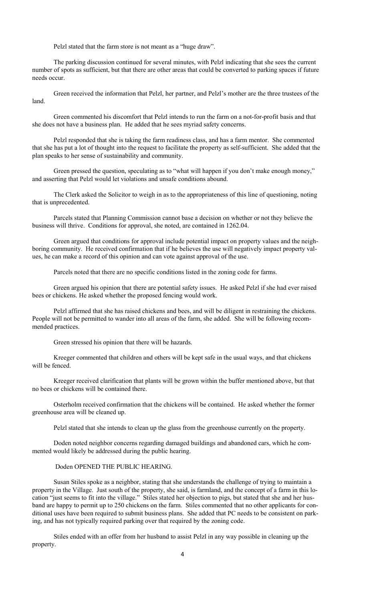Pelzl stated that the farm store is not meant as a "huge draw".

 The parking discussion continued for several minutes, with Pelzl indicating that she sees the current number of spots as sufficient, but that there are other areas that could be converted to parking spaces if future needs occur.

 Green received the information that Pelzl, her partner, and Pelzl's mother are the three trustees of the land.

 Green commented his discomfort that Pelzl intends to run the farm on a not-for-profit basis and that she does not have a business plan. He added that he sees myriad safety concerns.

 Pelzl responded that she is taking the farm readiness class, and has a farm mentor. She commented that she has put a lot of thought into the request to facilitate the property as self-sufficient. She added that the plan speaks to her sense of sustainability and community.

 Green pressed the question, speculating as to "what will happen if you don't make enough money," and asserting that Pelzl would let violations and unsafe conditions abound.

 The Clerk asked the Solicitor to weigh in as to the appropriateness of this line of questioning, noting that is unprecedented.

 Parcels stated that Planning Commission cannot base a decision on whether or not they believe the business will thrive. Conditions for approval, she noted, are contained in 1262.04.

 Green argued that conditions for approval include potential impact on property values and the neighboring community. He received confirmation that if he believes the use will negatively impact property values, he can make a record of this opinion and can vote against approval of the use.

Parcels noted that there are no specific conditions listed in the zoning code for farms.

 Green argued his opinion that there are potential safety issues. He asked Pelzl if she had ever raised bees or chickens. He asked whether the proposed fencing would work.

 Pelzl affirmed that she has raised chickens and bees, and will be diligent in restraining the chickens. People will not be permitted to wander into all areas of the farm, she added. She will be following recommended practices.

Green stressed his opinion that there will be hazards.

 Kreeger commented that children and others will be kept safe in the usual ways, and that chickens will be fenced.

 Kreeger received clarification that plants will be grown within the buffer mentioned above, but that no bees or chickens will be contained there.

 Osterholm received confirmation that the chickens will be contained. He asked whether the former greenhouse area will be cleaned up.

Pelzl stated that she intends to clean up the glass from the greenhouse currently on the property.

 Doden noted neighbor concerns regarding damaged buildings and abandoned cars, which he commented would likely be addressed during the public hearing.

# Doden OPENED THE PUBLIC HEARING.

 Susan Stiles spoke as a neighbor, stating that she understands the challenge of trying to maintain a property in the Village. Just south of the property, she said, is farmland, and the concept of a farm in this location "just seems to fit into the village." Stiles stated her objection to pigs, but stated that she and her husband are happy to permit up to 250 chickens on the farm. Stiles commented that no other applicants for conditional uses have been required to submit business plans. She added that PC needs to be consistent on parking, and has not typically required parking over that required by the zoning code.

 Stiles ended with an offer from her husband to assist Pelzl in any way possible in cleaning up the property.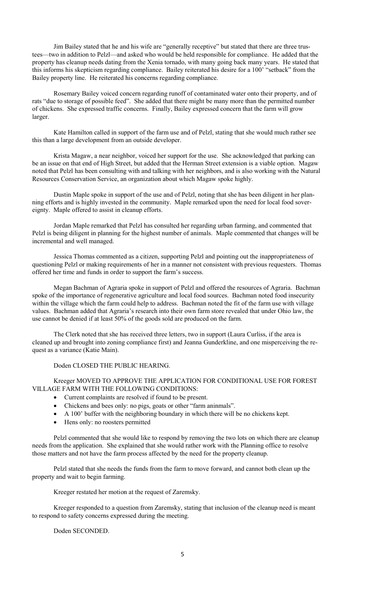Jim Bailey stated that he and his wife are "generally receptive" but stated that there are three trustees—two in addition to Pelzl—and asked who would be held responsible for compliance. He added that the property has cleanup needs dating from the Xenia tornado, with many going back many years. He stated that this informs his skepticism regarding compliance. Bailey reiterated his desire for a 100' "setback" from the Bailey property line. He reiterated his concerns regarding compliance.

 Rosemary Bailey voiced concern regarding runoff of contaminated water onto their property, and of rats "due to storage of possible feed". She added that there might be many more than the permitted number of chickens. She expressed traffic concerns. Finally, Bailey expressed concern that the farm will grow larger.

 Kate Hamilton called in support of the farm use and of Pelzl, stating that she would much rather see this than a large development from an outside developer.

 Krista Magaw, a near neighbor, voiced her support for the use. She acknowledged that parking can be an issue on that end of High Street, but added that the Herman Street extension is a viable option. Magaw noted that Pelzl has been consulting with and talking with her neighbors, and is also working with the Natural Resources Conservation Service, an organization about which Magaw spoke highly.

 Dustin Maple spoke in support of the use and of Pelzl, noting that she has been diligent in her planning efforts and is highly invested in the community. Maple remarked upon the need for local food sovereignty. Maple offered to assist in cleanup efforts.

 Jordan Maple remarked that Pelzl has consulted her regarding urban farming, and commented that Pelzl is being diligent in planning for the highest number of animals. Maple commented that changes will be incremental and well managed.

 Jessica Thomas commented as a citizen, supporting Pelzl and pointing out the inappropriateness of questioning Pelzl or making requirements of her in a manner not consistent with previous requesters. Thomas offered her time and funds in order to support the farm's success.

 Megan Bachman of Agraria spoke in support of Pelzl and offered the resources of Agraria. Bachman spoke of the importance of regenerative agriculture and local food sources. Bachman noted food insecurity within the village which the farm could help to address. Bachman noted the fit of the farm use with village values. Bachman added that Agraria's research into their own farm store revealed that under Ohio law, the use cannot be denied if at least 50% of the goods sold are produced on the farm.

 The Clerk noted that she has received three letters, two in support (Laura Curliss, if the area is cleaned up and brought into zoning compliance first) and Jeanna Gunderkline, and one misperceiving the request as a variance (Katie Main).

Doden CLOSED THE PUBLIC HEARING.

 Kreeger MOVED TO APPROVE THE APPLICATION FOR CONDITIONAL USE FOR FOREST VILLAGE FARM WITH THE FOLLOWING CONDITIONS:

- Current complaints are resolved if found to be present.
- Chickens and bees only: no pigs, goats or other "farm aninmals".
- A 100' buffer with the neighboring boundary in which there will be no chickens kept.
- Hens only: no roosters permitted

Pelzl commented that she would like to respond by removing the two lots on which there are cleanup needs from the application. She explained that she would rather work with the Planning office to resolve those matters and not have the farm process affected by the need for the property cleanup.

Pelzl stated that she needs the funds from the farm to move forward, and cannot both clean up the property and wait to begin farming.

Kreeger restated her motion at the request of Zaremsky.

 Kreeger responded to a question from Zaremsky, stating that inclusion of the cleanup need is meant to respond to safety concerns expressed during the meeting.

Doden SECONDED.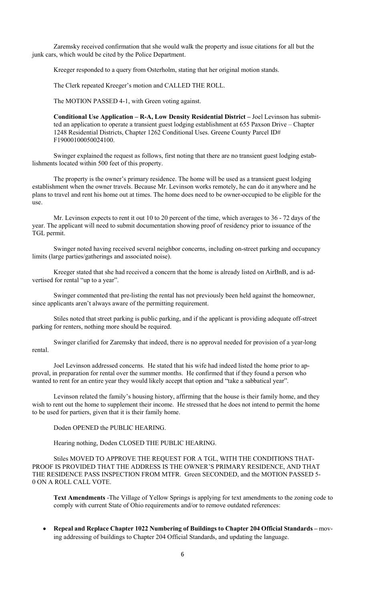Zaremsky received confirmation that she would walk the property and issue citations for all but the junk cars, which would be cited by the Police Department.

Kreeger responded to a query from Osterholm, stating that her original motion stands.

The Clerk repeated Kreeger's motion and CALLED THE ROLL.

The MOTION PASSED 4-1, with Green voting against.

Conditional Use Application – R-A, Low Density Residential District – Joel Levinson has submitted an application to operate a transient guest lodging establishment at 655 Paxson Drive – Chapter 1248 Residential Districts, Chapter 1262 Conditional Uses. Greene County Parcel ID# F19000100050024100.

Swinger explained the request as follows, first noting that there are no transient guest lodging establishments located within 500 feet of this property.

The property is the owner's primary residence. The home will be used as a transient guest lodging establishment when the owner travels. Because Mr. Levinson works remotely, he can do it anywhere and he plans to travel and rent his home out at times. The home does need to be owner-occupied to be eligible for the use.

Mr. Levinson expects to rent it out 10 to 20 percent of the time, which averages to 36 - 72 days of the year. The applicant will need to submit documentation showing proof of residency prior to issuance of the TGL permit.

Swinger noted having received several neighbor concerns, including on-street parking and occupancy limits (large parties/gatherings and associated noise).

Kreeger stated that she had received a concern that the home is already listed on AirBnB, and is advertised for rental "up to a year".

Swinger commented that pre-listing the rental has not previously been held against the homeowner, since applicants aren't always aware of the permitting requirement.

Stiles noted that street parking is public parking, and if the applicant is providing adequate off-street parking for renters, nothing more should be required.

Swinger clarified for Zaremsky that indeed, there is no approval needed for provision of a year-long rental.

Joel Levinson addressed concerns. He stated that his wife had indeed listed the home prior to approval, in preparation for rental over the summer months. He confirmed that if they found a person who wanted to rent for an entire year they would likely accept that option and "take a sabbatical year".

Levinson related the family's housing history, affirming that the house is their family home, and they wish to rent out the home to supplement their income. He stressed that he does not intend to permit the home to be used for partiers, given that it is their family home.

Doden OPENED the PUBLIC HEARING.

Hearing nothing, Doden CLOSED THE PUBLIC HEARING.

Stiles MOVED TO APPROVE THE REQUEST FOR A TGL, WITH THE CONDITIONS THAT-PROOF IS PROVIDED THAT THE ADDRESS IS THE OWNER'S PRIMARY RESIDENCE, AND THAT THE RESIDENCE PASS INSPECTION FROM MTFR. Green SECONDED, and the MOTION PASSED 5- 0 ON A ROLL CALL VOTE.

Text Amendments -The Village of Yellow Springs is applying for text amendments to the zoning code to comply with current State of Ohio requirements and/or to remove outdated references:

 Repeal and Replace Chapter 1022 Numbering of Buildings to Chapter 204 Official Standards – moving addressing of buildings to Chapter 204 Official Standards, and updating the language.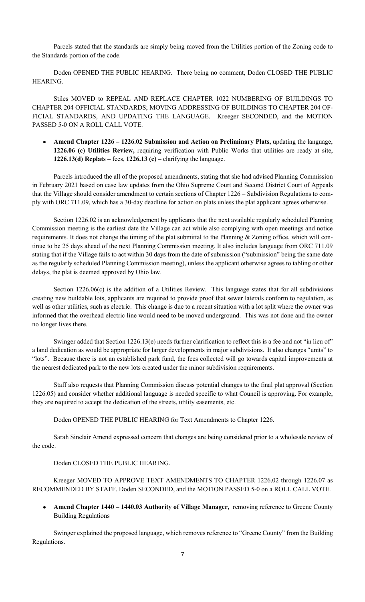Parcels stated that the standards are simply being moved from the Utilities portion of the Zoning code to the Standards portion of the code.

Doden OPENED THE PUBLIC HEARING. There being no comment, Doden CLOSED THE PUBLIC HEARING.

Stiles MOVED to REPEAL AND REPLACE CHAPTER 1022 NUMBERING OF BUILDINGS TO CHAPTER 204 OFFICIAL STANDARDS; MOVING ADDRESSING OF BUILDINGS TO CHAPTER 204 OF-FICIAL STANDARDS, AND UPDATING THE LANGUAGE. Kreeger SECONDED, and the MOTION PASSED 5-0 ON A ROLL CALL VOTE.

Amend Chapter 1226 – 1226.02 Submission and Action on Preliminary Plats, updating the language, 1226.06 (c) Utilities Review, requiring verification with Public Works that utilities are ready at site, 1226.13(d) Replats – fees, 1226.13 (e) – clarifying the language.

Parcels introduced the all of the proposed amendments, stating that she had advised Planning Commission in February 2021 based on case law updates from the Ohio Supreme Court and Second District Court of Appeals that the Village should consider amendment to certain sections of Chapter 1226 – Subdivision Regulations to comply with ORC 711.09, which has a 30-day deadline for action on plats unless the plat applicant agrees otherwise.

Section 1226.02 is an acknowledgement by applicants that the next available regularly scheduled Planning Commission meeting is the earliest date the Village can act while also complying with open meetings and notice requirements. It does not change the timing of the plat submittal to the Planning & Zoning office, which will continue to be 25 days ahead of the next Planning Commission meeting. It also includes language from ORC 711.09 stating that if the Village fails to act within 30 days from the date of submission ("submission" being the same date as the regularly scheduled Planning Commission meeting), unless the applicant otherwise agrees to tabling or other delays, the plat is deemed approved by Ohio law.

Section 1226.06(c) is the addition of a Utilities Review. This language states that for all subdivisions creating new buildable lots, applicants are required to provide proof that sewer laterals conform to regulation, as well as other utilities, such as electric. This change is due to a recent situation with a lot split where the owner was informed that the overhead electric line would need to be moved underground. This was not done and the owner no longer lives there.

Swinger added that Section 1226.13(e) needs further clarification to reflect this is a fee and not "in lieu of" a land dedication as would be appropriate for larger developments in major subdivisions. It also changes "units" to "lots". Because there is not an established park fund, the fees collected will go towards capital improvements at the nearest dedicated park to the new lots created under the minor subdivision requirements.

Staff also requests that Planning Commission discuss potential changes to the final plat approval (Section 1226.05) and consider whether additional language is needed specific to what Council is approving. For example, they are required to accept the dedication of the streets, utility easements, etc.

Doden OPENED THE PUBLIC HEARING for Text Amendments to Chapter 1226.

Sarah Sinclair Amend expressed concern that changes are being considered prior to a wholesale review of the code.

Doden CLOSED THE PUBLIC HEARING.

Kreeger MOVED TO APPROVE TEXT AMENDMENTS TO CHAPTER 1226.02 through 1226.07 as RECOMMENDED BY STAFF. Doden SECONDED, and the MOTION PASSED 5-0 on a ROLL CALL VOTE.

Amend Chapter 1440 – 1440.03 Authority of Village Manager, removing reference to Greene County Building Regulations

Swinger explained the proposed language, which removes reference to "Greene County" from the Building Regulations.